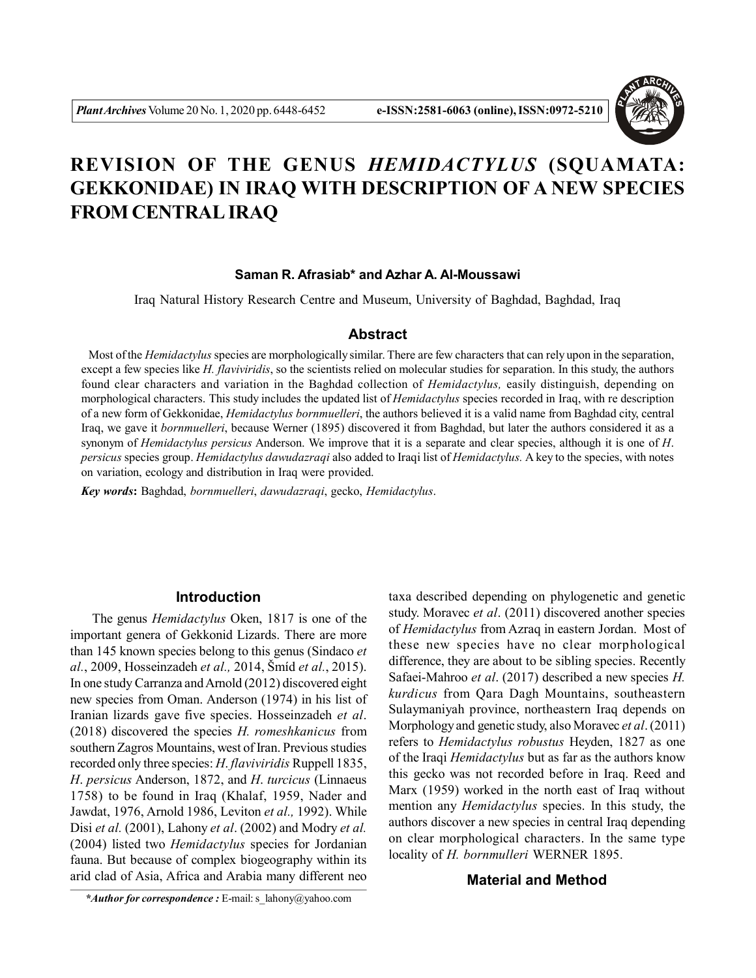

# **REVISION OF THE GENUS** *HEMIDACTYLUS* **(SQUAMATA: GEKKONIDAE) IN IRAQ WITH DESCRIPTION OF A NEW SPECIES FROM CENTRAL IRAQ**

#### **Saman R. Afrasiab\* and Azhar A. Al-Moussawi**

Iraq Natural History Research Centre and Museum, University of Baghdad, Baghdad, Iraq

# **Abstract**

 Most of the *Hemidactylus* species are morphologically similar. There are few characters that can rely upon in the separation, except a few species like *H. flaviviridis*, so the scientists relied on molecular studies for separation. In this study, the authors found clear characters and variation in the Baghdad collection of *Hemidactylus,* easily distinguish, depending on morphological characters. This study includes the updated list of *Hemidactylus* species recorded in Iraq, with re description of a new form of Gekkonidae, *Hemidactylus bornmuelleri*, the authors believed it is a valid name from Baghdad city, central Iraq, we gave it *bornmuelleri*, because Werner (1895) discovered it from Baghdad, but later the authors considered it as a synonym of *Hemidactylus persicus* Anderson. We improve that it is a separate and clear species, although it is one of *H*. *persicus* species group. *Hemidactylus dawudazraqi* also added to Iraqi list of *Hemidactylus.* A key to the species, with notes on variation, ecology and distribution in Iraq were provided.

*Key words***:** Baghdad, *bornmuelleri*, *dawudazraqi*, gecko, *Hemidactylus*.

### **Introduction**

The genus *Hemidactylus* Oken, 1817 is one of the important genera of Gekkonid Lizards. There are more than 145 known species belong to this genus (Sindaco *et al.*, 2009, Hosseinzadeh *et al.,* 2014, Šmíd *et al.*, 2015). In one study Carranza and Arnold (2012) discovered eight new species from Oman. Anderson (1974) in his list of Iranian lizards gave five species. Hosseinzadeh *et al*. (2018) discovered the species *H. romeshkanicus* from southern Zagros Mountains, west of Iran. Previous studies recorded only three species: *H*. *flaviviridis* Ruppell 1835, *H*. *persicus* Anderson, 1872, and *H*. *turcicus* (Linnaeus 1758) to be found in Iraq (Khalaf, 1959, Nader and Jawdat, 1976, Arnold 1986, Leviton *et al.,* 1992). While Disi *et al.* (2001), Lahony *et al*. (2002) and Modry *et al.* (2004) listed two *Hemidactylus* species for Jordanian fauna. But because of complex biogeography within its arid clad of Asia, Africa and Arabia many different neo

taxa described depending on phylogenetic and genetic study. Moravec *et al*. (2011) discovered another species of *Hemidactylus* from Azraq in eastern Jordan. Most of these new species have no clear morphological difference, they are about to be sibling species. Recently Safaei-Mahroo *et al*. (2017) described a new species *H. kurdicus* from Qara Dagh Mountains, southeastern Sulaymaniyah province, northeastern Iraq depends on Morphology and genetic study, also Moravec *et al*. (2011) refers to *Hemidactylus robustus* Heyden, 1827 as one of the Iraqi *Hemidactylus* but as far as the authors know this gecko was not recorded before in Iraq. Reed and Marx (1959) worked in the north east of Iraq without mention any *Hemidactylus* species. In this study, the authors discover a new species in central Iraq depending on clear morphological characters. In the same type locality of *H. bornmulleri* WERNER 1895.

#### **Material and Method**

*\*Author for correspondence :* E-mail: s\_lahony@yahoo.com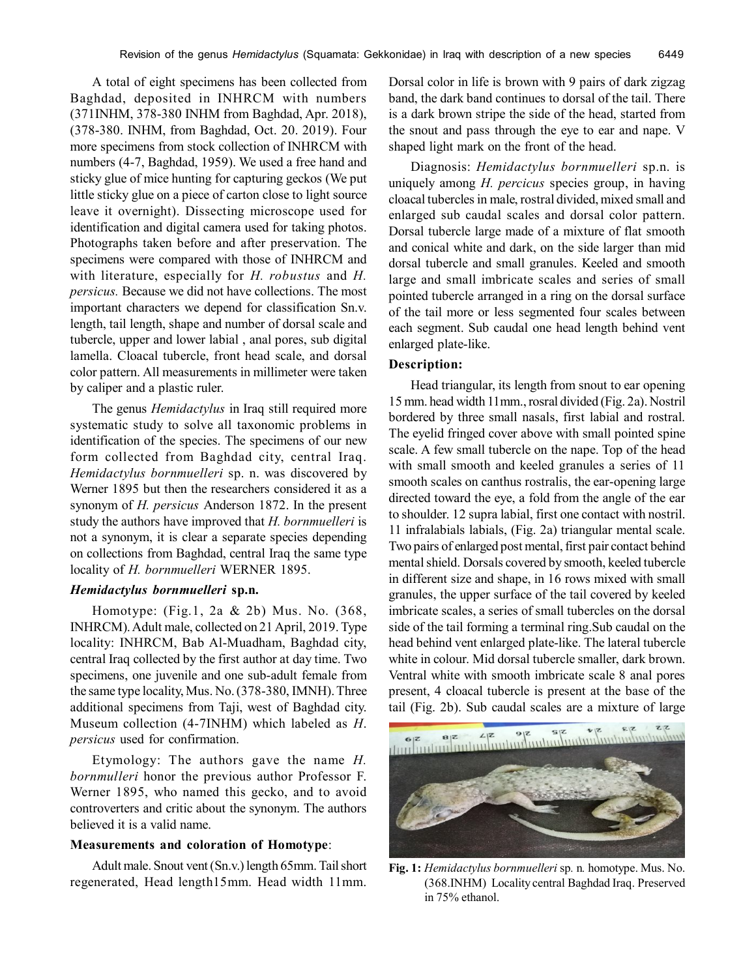A total of eight specimens has been collected from Baghdad, deposited in INHRCM with numbers (371INHM, 378-380 INHM from Baghdad, Apr. 2018), (378-380. INHM, from Baghdad, Oct. 20. 2019). Four more specimens from stock collection of INHRCM with numbers (4-7, Baghdad, 1959). We used a free hand and sticky glue of mice hunting for capturing geckos (We put little sticky glue on a piece of carton close to light source leave it overnight). Dissecting microscope used for identification and digital camera used for taking photos. Photographs taken before and after preservation. The specimens were compared with those of INHRCM and with literature, especially for *H. robustus* and *H. persicus.* Because we did not have collections. The most important characters we depend for classification Sn.v. length, tail length, shape and number of dorsal scale and tubercle, upper and lower labial , anal pores, sub digital lamella. Cloacal tubercle, front head scale, and dorsal color pattern. All measurements in millimeter were taken by caliper and a plastic ruler.

The genus *Hemidactylus* in Iraq still required more systematic study to solve all taxonomic problems in identification of the species. The specimens of our new form collected from Baghdad city, central Iraq. *Hemidactylus bornmuelleri* sp. n. was discovered by Werner 1895 but then the researchers considered it as a synonym of *H. persicus* Anderson 1872. In the present study the authors have improved that *H. bornmuelleri* is not a synonym, it is clear a separate species depending on collections from Baghdad, central Iraq the same type locality of *H. bornmuelleri* WERNER 1895.

# *Hemidactylus bornmuelleri* **sp.n.**

Homotype: (Fig.1, 2a & 2b) Mus. No. (368, INHRCM). Adult male, collected on 21 April, 2019. Type locality: INHRCM, Bab Al-Muadham, Baghdad city, central Iraq collected by the first author at day time. Two specimens, one juvenile and one sub-adult female from the same type locality, Mus. No. (378-380, IMNH). Three additional specimens from Taji, west of Baghdad city. Museum collection (4-7INHM) which labeled as *H*. *persicus* used for confirmation.

Etymology: The authors gave the name *H. bornmulleri* honor the previous author Professor F. Werner 1895, who named this gecko, and to avoid controverters and critic about the synonym. The authors believed it is a valid name.

# **Measurements and coloration of Homotype**:

Adult male. Snout vent (Sn.v.) length 65mm. Tail short regenerated, Head length15mm. Head width 11mm. Dorsal color in life is brown with 9 pairs of dark zigzag band, the dark band continues to dorsal of the tail. There is a dark brown stripe the side of the head, started from the snout and pass through the eye to ear and nape. V shaped light mark on the front of the head.

Diagnosis: *Hemidactylus bornmuelleri* sp.n. is uniquely among *H. percicus* species group, in having cloacal tubercles in male, rostral divided, mixed small and enlarged sub caudal scales and dorsal color pattern. Dorsal tubercle large made of a mixture of flat smooth and conical white and dark, on the side larger than mid dorsal tubercle and small granules. Keeled and smooth large and small imbricate scales and series of small pointed tubercle arranged in a ring on the dorsal surface of the tail more or less segmented four scales between each segment. Sub caudal one head length behind vent enlarged plate-like.

#### **Description:**

Head triangular, its length from snout to ear opening 15 mm. head width 11mm., rosral divided (Fig. 2a). Nostril bordered by three small nasals, first labial and rostral. The eyelid fringed cover above with small pointed spine scale. A few small tubercle on the nape. Top of the head with small smooth and keeled granules a series of 11 smooth scales on canthus rostralis, the ear-opening large directed toward the eye, a fold from the angle of the ear to shoulder. 12 supra labial, first one contact with nostril. 11 infralabials labials, (Fig. 2a) triangular mental scale. Two pairs of enlarged post mental, first pair contact behind mental shield. Dorsals covered by smooth, keeled tubercle in different size and shape, in 16 rows mixed with small granules, the upper surface of the tail covered by keeled imbricate scales, a series of small tubercles on the dorsal side of the tail forming a terminal ring.Sub caudal on the head behind vent enlarged plate-like. The lateral tubercle white in colour. Mid dorsal tubercle smaller, dark brown. Ventral white with smooth imbricate scale 8 anal pores present, 4 cloacal tubercle is present at the base of the tail (Fig. 2b). Sub caudal scales are a mixture of large



**Fig. 1:** *Hemidactylus bornmuelleri* sp*.* n*.* homotype. Mus. No. (368.INHM) Locality central Baghdad Iraq. Preserved in 75% ethanol.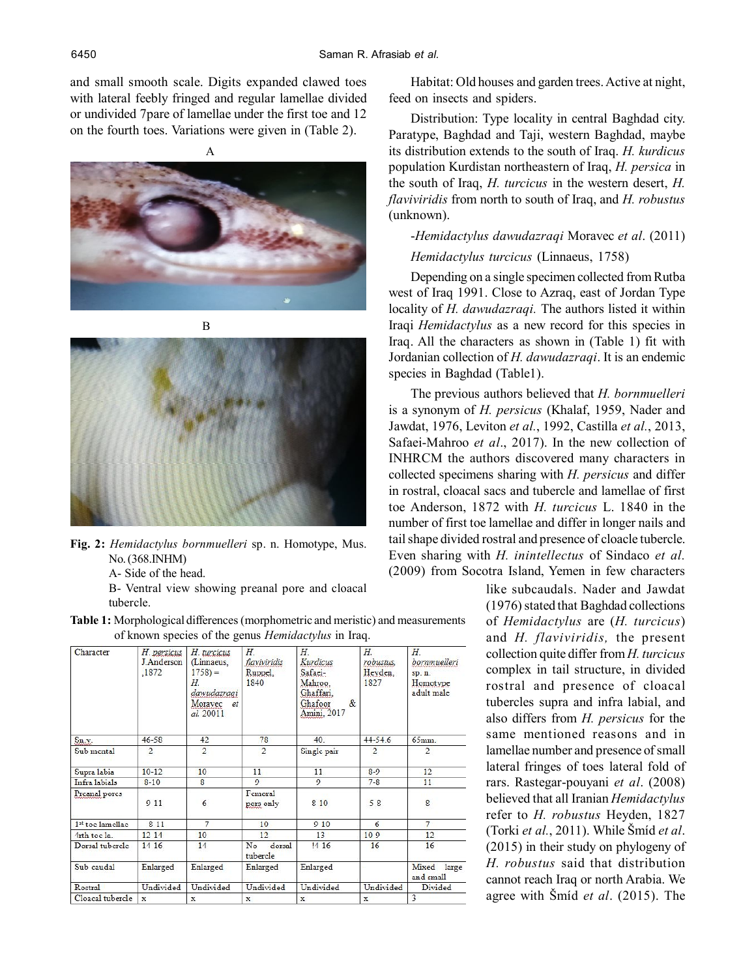and small smooth scale. Digits expanded clawed toes with lateral feebly fringed and regular lamellae divided or undivided 7pare of lamellae under the first toe and 12 on the fourth toes. Variations were given in (Table 2).



A



B



- **Fig. 2:** *Hemidactylus bornmuelleri* sp. n. Homotype, Mus. No. (368.INHM)
	- A- Side of the head.

B- Ventral view showing preanal pore and cloacal tubercle.

**Table 1:** Morphological differences (morphometric and meristic) and measurements of known species of the genus *Hemidactylus* in Iraq.

| Character                    | H. persicus<br>J Anderson<br>.1872 | H. turcicus<br>(Linnaeus,<br>$1758 =$<br>Н.<br>dawudazragi<br>Moravec<br>et.<br>al. 20011 | $H$ .<br>flaviviridis<br>Ruppel.<br>1840 | Н.<br>Kurdicus<br>Safaei-<br>Mahroo,<br>Ghaffari.<br>Ghafoor<br>$\&$<br>Amini, 2017 | Н.<br>robustus,<br>Heyden.<br>1827 | $H_{\cdot}$<br>bornmuelleri<br>sp. n.<br>Homotype<br>adult male |
|------------------------------|------------------------------------|-------------------------------------------------------------------------------------------|------------------------------------------|-------------------------------------------------------------------------------------|------------------------------------|-----------------------------------------------------------------|
| Sn.v.                        | $46 - 58$                          | 42                                                                                        | 78                                       | 40.                                                                                 | $44 - 54.6$                        | 65mm.                                                           |
| Sub mental                   | $\overline{2}$                     | $\overline{2}$                                                                            | $\overline{2}$                           | Single pair                                                                         | $\overline{2}$                     | $\overline{2}$                                                  |
| Supra labia                  | $10-12$                            | 10                                                                                        | 11                                       | 11                                                                                  | $8-9$                              | 12                                                              |
| Infra labials                | $8 - 10$                           | 8                                                                                         | $\Omega$                                 | $\Omega$                                                                            | $7 - 8$                            | 11                                                              |
| Preanal pores                | 9 1 1                              | 6                                                                                         | Femoral<br>pors only                     | 8 10                                                                                | 58                                 | $\bf{8}$                                                        |
| 1 <sup>st</sup> toe lamellae | $8 - 11$                           | $7\phantom{.0}$                                                                           | 10                                       | $9 - 10$                                                                            | 6                                  | $\overline{7}$                                                  |
| 4rth toe la.                 | $12 - 14$                          | 10                                                                                        | 12                                       | 13                                                                                  | $10-9$                             | 12                                                              |
| Dorsal tubercle              | $14 - 16$                          | 14                                                                                        | dorsal<br>No<br>tubercle                 | $14 - 16$                                                                           | 16                                 | 16                                                              |
| Sub-caudal                   | Enlarged                           | Enlarged                                                                                  | Enlarged                                 | Enlarged                                                                            |                                    | Mixed large<br>and small                                        |
| Rostral                      | Undivided                          | Undivided                                                                                 | Undivided                                | Undivided                                                                           | Undivided                          | Divided                                                         |
| Cloacal tubercle             | $\overline{\mathbf{x}}$            | $\mathbf{x}$                                                                              | $\mathbf{x}$                             | $\mathbf{x}$                                                                        | x                                  | $\overline{\mathbf{3}}$                                         |

Habitat: Old houses and garden trees. Active at night, feed on insects and spiders.

Distribution: Type locality in central Baghdad city. Paratype, Baghdad and Taji, western Baghdad, maybe its distribution extends to the south of Iraq. *H. kurdicus* population Kurdistan northeastern of Iraq, *H. persica* in the south of Iraq, *H. turcicus* in the western desert, *H. flaviviridis* from north to south of Iraq, and *H. robustus* (unknown).

# -*Hemidactylus dawudazraqi* Moravec *et al*. (2011)

# *Hemidactylus turcicus* (Linnaeus, 1758)

Depending on a single specimen collected from Rutba west of Iraq 1991. Close to Azraq, east of Jordan Type locality of *H. dawudazraqi.* The authors listed it within Iraqi *Hemidactylus* as a new record for this species in Iraq. All the characters as shown in (Table 1) fit with Jordanian collection of *H. dawudazraqi*. It is an endemic species in Baghdad (Table1).

The previous authors believed that *H. bornmuelleri* is a synonym of *H. persicus* (Khalaf, 1959, Nader and Jawdat, 1976, Leviton *et al.*, 1992, Castilla *et al.*, 2013, Safaei-Mahroo *et al*., 2017). In the new collection of INHRCM the authors discovered many characters in collected specimens sharing with *H. persicus* and differ in rostral, cloacal sacs and tubercle and lamellae of first toe Anderson, 1872 with *H. turcicus* L. 1840 in the number of first toe lamellae and differ in longer nails and tail shape divided rostral and presence of cloacle tubercle. Even sharing with *H. inintellectus* of Sindaco *et al.* (2009) from Socotra Island, Yemen in few characters

> like subcaudals. Nader and Jawdat (1976) stated that Baghdad collections of *Hemidactylus* are (*H. turcicus*) and *H. flaviviridis,* the present collection quite differ from *H. turcicus* complex in tail structure, in divided rostral and presence of cloacal tubercles supra and infra labial, and also differs from *H. persicus* for the same mentioned reasons and in lamellae number and presence of small lateral fringes of toes lateral fold of rars. Rastegar-pouyani *et al*. (2008) believed that all Iranian *Hemidactylus* refer to *H. robustus* Heyden, 1827 (Torki *et al.*, 2011). While Šmíd *et al*. (2015) in their study on phylogeny of *H. robustus* said that distribution cannot reach Iraq or north Arabia. We agree with Šmíd *et al*. (2015). The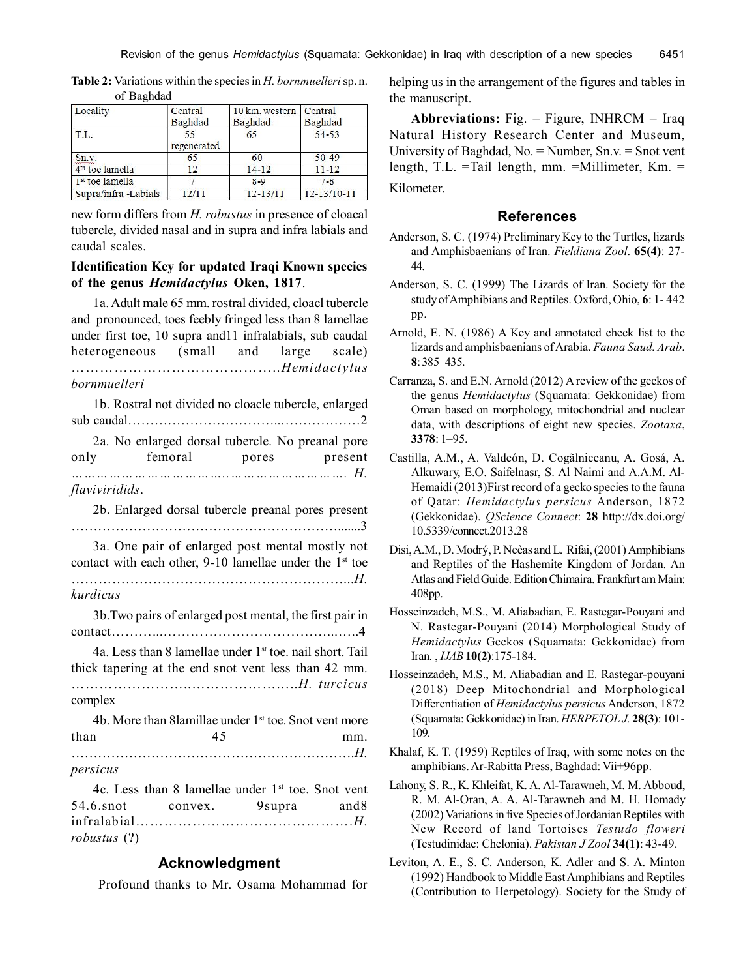| Locality                    | Central     | 10 km. western | Central           |  |
|-----------------------------|-------------|----------------|-------------------|--|
|                             | Baghdad     | Baghdad        | Baghdad           |  |
| T.L.                        | 55          | 65             | 54-53             |  |
|                             | regenerated |                |                   |  |
| Sn.v.                       | 65          | 60             | $50 - 49$         |  |
| 4 <sup>th</sup> toe lamella | 12          | $14 - 12$      | $11 - 12$         |  |
| 1 <sup>st</sup> toe lamella |             | $8 - 9$        | $7 - 8$           |  |
| Supra/infra-Labials         | 12/11       | $12 - 13/11$   | $12 - 13/10 - 11$ |  |

**Table 2:** Variations within the species in *H. bornmuelleri* sp. n. of Baghdad

new form differs from *H. robustus* in presence of cloacal tubercle, divided nasal and in supra and infra labials and caudal scales.

#### **Identification Key for updated Iraqi Known species of the genus** *Hemidactylus* **Oken, 1817**.

1a. Adult male 65 mm. rostral divided, cloacl tubercle

and pronounced, toes feebly fringed less than 8 lamellae under first toe, 10 supra and11 infralabials, sub caudal heterogeneous (small and large scale) ……………………………………..*Hemidactylus bornmuelleri* 1b. Rostral not divided no cloacle tubercle, enlarged sub caudal……………………………..………………2 2a. No enlarged dorsal tubercle. No preanal pore only femoral pores present *………………………………..………………………. H. flaviviridids*. 2b. Enlarged dorsal tubercle preanal pores present …………………………………………………….......3 3a. One pair of enlarged post mental mostly not contact with each other, 9-10 lamellae under the  $1<sup>st</sup>$  toe ……………………………………………………...*H. kurdicus* 3b.Two pairs of enlarged post mental, the first pair in contact………...………………………………...…..4 4a. Less than 8 lamellae under 1<sup>st</sup> toe, nail short. Tail thick tapering at the end snot vent less than 42 mm. ……………………..…………………..*H. turcicus* complex 4b. More than 8lamillae under 1<sup>st</sup> toe. Snot vent more  $than$   $45$  mm. ……………………………………………………….*H. persicus* 4c. Less than 8 lamellae under  $1<sup>st</sup>$  toe. Snot vent 54.6.snot convex. 9supra and 8 infralabial……………………………………….*H. robustus* (?)

# **Acknowledgment**

Profound thanks to Mr. Osama Mohammad for

helping us in the arrangement of the figures and tables in the manuscript.

**Abbreviations:** Fig. = Figure, INHRCM = Iraq Natural History Research Center and Museum, University of Baghdad, No. = Number, Sn.v. = Snot vent length, T.L. =Tail length, mm. =Millimeter, Km. = Kilometer.

#### **References**

- Anderson, S. C. (1974) Preliminary Key to the Turtles, lizards and Amphisbaenians of Iran. *Fieldiana Zool*. **65(4)**: 27- 44.
- Anderson, S. C. (1999) The Lizards of Iran. Society for the study of Amphibians and Reptiles. Oxford, Ohio, **6**: 1- 442 pp.
- Arnold, E. N. (1986) A Key and annotated check list to the lizards and amphisbaenians of Arabia. *Fauna Saud. Arab*. **8**: 385–435.
- Carranza, S. and E.N. Arnold (2012) A review of the geckos of the genus *Hemidactylus* (Squamata: Gekkonidae) from Oman based on morphology, mitochondrial and nuclear data, with descriptions of eight new species. *Zootaxa*, **3378**: 1–95.
- Castilla, A.M., A. Valdeón, D. Cogãlniceanu, A. Gosá, A. Alkuwary, E.O. Saifelnasr, S. Al Naimi and A.A.M. Al-Hemaidi (2013)First record of a gecko species to the fauna of Qatar: *Hemidactylus persicus* Anderson, 1872 (Gekkonidae). *QScience Connect*: **28** http://dx.doi.org/ 10.5339/connect.2013.28
- Disi, A.M., D. Modrý, P. Neèas and L. Rifai, (2001) Amphibians and Reptiles of the Hashemite Kingdom of Jordan. An Atlas and Field Guide. Edition Chimaira. Frankfurt am Main: 408pp.
- Hosseinzadeh, M.S., M. Aliabadian, E. Rastegar-Pouyani and N. Rastegar-Pouyani (2014) Morphological Study of *Hemidactylus* Geckos (Squamata: Gekkonidae) from Iran. , *IJAB***10(2)**:175-184.
- Hosseinzadeh, M.S., M. Aliabadian and E. Rastegar-pouyani (2018) Deep Mitochondrial and Morphological Differentiation of *Hemidactylus persicus* Anderson, 1872 (Squamata: Gekkonidae) in Iran. *HERPETOL J.* **28(3)**: 101- 109.
- Khalaf, K. T. (1959) Reptiles of Iraq, with some notes on the amphibians. Ar-Rabitta Press, Baghdad: Vii+96pp.
- Lahony, S. R., K. Khleifat, K. A. Al-Tarawneh, M. M. Abboud, R. M. Al-Oran, A. A. Al-Tarawneh and M. H. Homady (2002) Variations in five Species of Jordanian Reptiles with New Record of land Tortoises *Testudo floweri* (Testudinidae: Chelonia). *Pakistan J Zool* **34(1)**: 43-49.
- Leviton, A. E., S. C. Anderson, K. Adler and S. A. Minton (1992) Handbook to Middle East Amphibians and Reptiles (Contribution to Herpetology). Society for the Study of